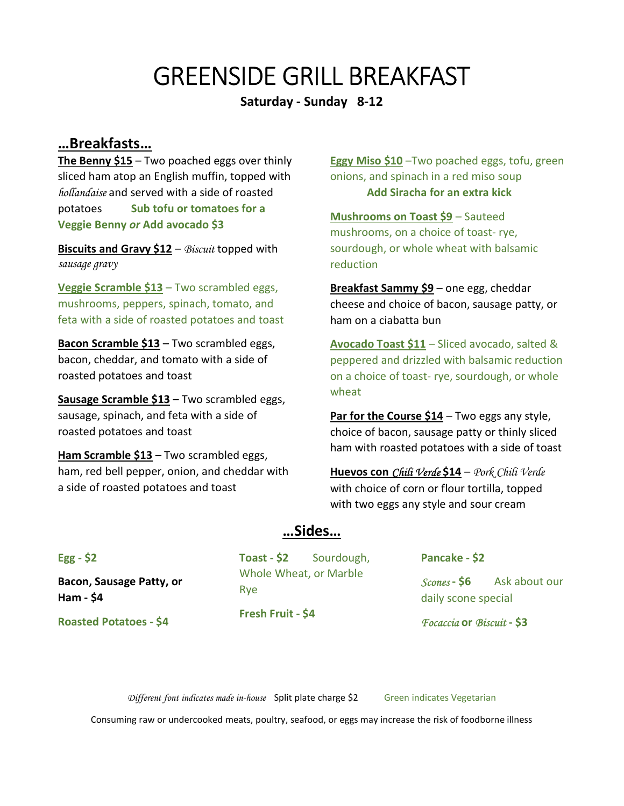# GREENSIDE GRILL BREAKFAST

Saturday - Sunday 8-12

### …Breakfasts…

The Benny  $$15 - Two$  poached eggs over thinly sliced ham atop an English muffin, topped with hollandaise and served with a side of roasted potatoes Sub tofu or tomatoes for a Veggie Benny or Add avocado \$3

Biscuits and Gravy  $$12 - Biscut$  topped with sausage gravy

Veggie Scramble \$13 – Two scrambled eggs, mushrooms, peppers, spinach, tomato, and feta with a side of roasted potatoes and toast

**Bacon Scramble \$13 – Two scrambled eggs,** bacon, cheddar, and tomato with a side of roasted potatoes and toast

Sausage Scramble \$13 – Two scrambled eggs, sausage, spinach, and feta with a side of roasted potatoes and toast

Ham Scramble \$13 – Two scrambled eggs, ham, red bell pepper, onion, and cheddar with a side of roasted potatoes and toast

Eggy Miso \$10 – Two poached eggs, tofu, green onions, and spinach in a red miso soup Add Siracha for an extra kick

Mushrooms on Toast \$9 – Sauteed mushrooms, on a choice of toast- rye, sourdough, or whole wheat with balsamic reduction

**Breakfast Sammy \$9** – one egg, cheddar cheese and choice of bacon, sausage patty, or ham on a ciabatta bun

Avocado Toast \$11 – Sliced avocado, salted & peppered and drizzled with balsamic reduction on a choice of toast- rye, sourdough, or whole wheat

Par for the Course  $$14 - Two eggs$  any style, choice of bacon, sausage patty or thinly sliced ham with roasted potatoes with a side of toast

Huevos con Chili Verde \$14 – Pork Chili Verde with choice of corn or flour tortilla, topped with two eggs any style and sour cream

### …Sides…

Egg - \$2

Bacon, Sausage Patty, or Ham - \$4

Roasted Potatoes - \$4

Toast - \$2 Sourdough, Whole Wheat, or Marble Rye Fresh Fruit - \$4

Pancake - \$2

Scones - \$6 Ask about our daily scone special

Focaccia or Biscuit - \$3

Different font indicates made in-house Split plate charge \$2 Green indicates Vegetarian

Consuming raw or undercooked meats, poultry, seafood, or eggs may increase the risk of foodborne illness